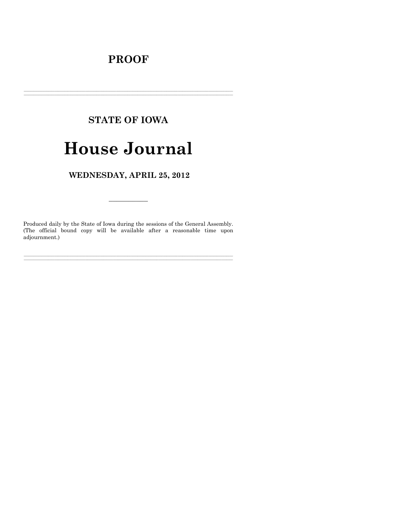## **PROOF**

## **STATE OF IOWA**

# **House Journal**

WEDNESDAY, APRIL 25, 2012

Produced daily by the State of Iowa during the sessions of the General Assembly. (The official bound copy will be available after a reasonable time upon adjournment.)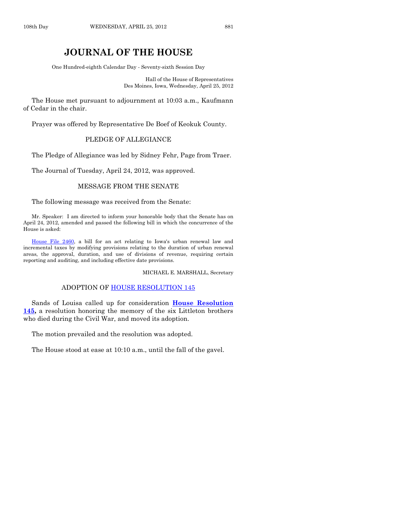### **JOURNAL OF THE HOUSE**

One Hundred-eighth Calendar Day - Seventy-sixth Session Day

Hall of the House of Representatives Des Moines, Iowa, Wednesday, April 25, 2012

The House met pursuant to adjournment at 10:03 a.m., Kaufmann of Cedar in the chair.

Prayer was offered by Representative De Boef of Keokuk County.

#### PLEDGE OF ALLEGIANCE

The Pledge of Allegiance was led by Sidney Fehr, Page from Traer.

The Journal of Tuesday, April 24, 2012, was approved.

#### MESSAGE FROM THE SENATE

The following message was received from the Senate:

Mr. Speaker: I am directed to inform your honorable body that the Senate has on April 24, 2012, amended and passed the following bill in which the concurrence of the House is asked:

[House File 2460,](http://coolice.legis.state.ia.us/Cool-ICE/default.asp?Category=billinfo&Service=Billbook&frame=1&GA=84&hbill=HF2460) a bill for an act relating to Iowa's urban renewal law and incremental taxes by modifying provisions relating to the duration of urban renewal areas, the approval, duration, and use of divisions of revenue, requiring certain reporting and auditing, and including effective date provisions.

MICHAEL E. MARSHALL, Secretary

#### ADOPTION OF [HOUSE RESOLUTION 145](http://coolice.legis.state.ia.us/Cool-ICE/default.asp?Category=billinfo&Service=Billbook&frame=1&GA=84&hbill=HR145)

Sands of Louisa called up for consideration **[House Resolution](http://coolice.legis.state.ia.us/Cool-ICE/default.asp?Category=billinfo&Service=Billbook&frame=1&GA=84&hbill=HR145)  [145,](http://coolice.legis.state.ia.us/Cool-ICE/default.asp?Category=billinfo&Service=Billbook&frame=1&GA=84&hbill=HR145)** a resolution honoring the memory of the six Littleton brothers who died during the Civil War, and moved its adoption.

The motion prevailed and the resolution was adopted.

The House stood at ease at 10:10 a.m., until the fall of the gavel.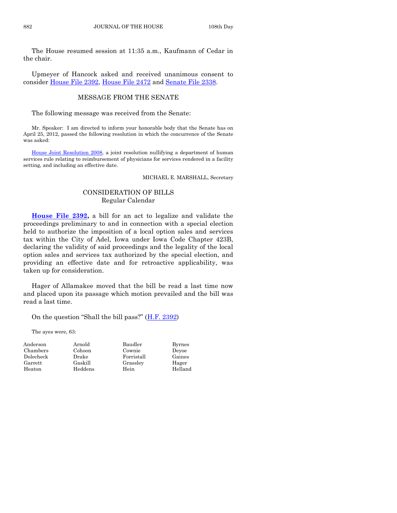The House resumed session at 11:35 a.m., Kaufmann of Cedar in the chair.

Upmeyer of Hancock asked and received unanimous consent to consider [House File 2392,](http://coolice.legis.state.ia.us/Cool-ICE/default.asp?Category=billinfo&Service=Billbook&frame=1&GA=84&hbill=HF2392) [House File 2472](http://coolice.legis.state.ia.us/Cool-ICE/default.asp?Category=billinfo&Service=Billbook&frame=1&GA=84&hbill=HF2472) and [Senate File 2338.](http://coolice.legis.state.ia.us/Cool-ICE/default.asp?Category=billinfo&Service=Billbook&frame=1&GA=84&hbill=SF2338)

#### MESSAGE FROM THE SENATE

The following message was received from the Senate:

Mr. Speaker: I am directed to inform your honorable body that the Senate has on April 25, 2012, passed the following resolution in which the concurrence of the Senate was asked:

[House Joint Resolution 2008,](http://coolice.legis.state.ia.us/Cool-ICE/default.asp?Category=billinfo&Service=Billbook&frame=1&GA=84&hbill=HJR2008) a joint resolution nullifying a department of human services rule relating to reimbursement of physicians for services rendered in a facility setting, and including an effective date.

MICHAEL E. MARSHALL, Secretary

#### CONSIDERATION OF BILLS Regular Calendar

**[House File 2392,](http://coolice.legis.state.ia.us/Cool-ICE/default.asp?Category=billinfo&Service=Billbook&frame=1&GA=84&hbill=HF2392)** a bill for an act to legalize and validate the proceedings preliminary to and in connection with a special election held to authorize the imposition of a local option sales and services tax within the City of Adel, Iowa under Iowa Code Chapter 423B, declaring the validity of said proceedings and the legality of the local option sales and services tax authorized by the special election, and providing an effective date and for retroactive applicability, was taken up for consideration.

Hager of Allamakee moved that the bill be read a last time now and placed upon its passage which motion prevailed and the bill was read a last time.

On the question "Shall the bill pass?"  $(H.F. 2392)$  $(H.F. 2392)$ 

The ayes were, 63:

| Anderson  | Arnold  | Baudler    | <b>Byrnes</b> |
|-----------|---------|------------|---------------|
| Chambers  | Cohoon  | Cownie     | Devoe         |
| Dolecheck | Drake   | Forristall | Gaines        |
| Garrett   | Gaskill | Grassley   | Hager         |
| Heaton    | Heddens | Hein       | Helland       |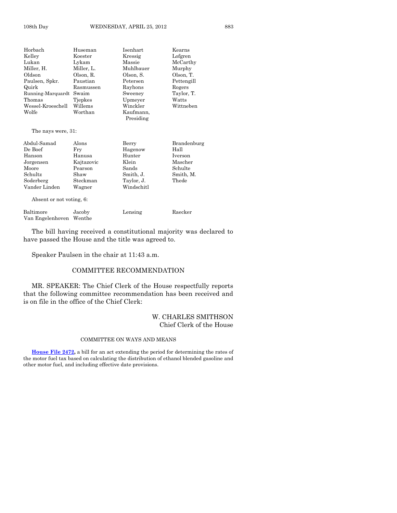| Horbach            | Huseman    | Isenhart  | Kearns     |
|--------------------|------------|-----------|------------|
| Kellev             | Koester    | Kressig   | Lofgren    |
| Lukan              | Lykam      | Massie    | McCarthy   |
| Miller. H.         | Miller, L. | Muhlbauer | Murphy     |
| Oldson             | Olson, R.  | Olson, S. | Olson, T.  |
| Paulsen, Spkr.     | Paustian   | Petersen  | Pettengill |
| Quirk              | Rasmussen  | Rayhons   | Rogers     |
| Running-Marquardt  | Swaim      | Sweeney   | Taylor, T. |
| Thomas             | Tiepkes    | Upmeyer   | Watts      |
| Wessel-Kroeschell  | Willems    | Winckler  | Wittneben  |
| Wolfe              | Worthan    | Kaufmann, |            |
|                    |            | Presiding |            |
| The nays were, 31: |            |           |            |
|                    |            |           |            |

| Abdul-Samad              | Alons      | Berry      | Brandenburg |  |
|--------------------------|------------|------------|-------------|--|
| De Boef                  | Fry        | Hagenow    | Hall        |  |
| Hanson                   | Hanusa     | Hunter     | Iverson     |  |
| Jorgensen                | Kajtazovic | Klein      | Mascher     |  |
| Moore                    | Pearson    | Sands      | Schulte     |  |
| Schultz                  | Shaw       | Smith, J.  | Smith, M.   |  |
| Soderberg                | Steckman   | Taylor, J. | Thede       |  |
| Vander Linden            | Wagner     | Windschitl |             |  |
| Absent or not voting, 6: |            |            |             |  |
| Baltimore                | Jacoby     | Lensing    | Raecker     |  |

The bill having received a constitutional majority was declared to have passed the House and the title was agreed to.

Speaker Paulsen in the chair at 11:43 a.m.

Van Engelenhoven Wenthe

#### COMMITTEE RECOMMENDATION

MR. SPEAKER: The Chief Clerk of the House respectfully reports that the following committee recommendation has been received and is on file in the office of the Chief Clerk:

#### W. CHARLES SMITHSON Chief Clerk of the House

#### COMMITTEE ON WAYS AND MEANS

**[House File 2472,](http://coolice.legis.state.ia.us/Cool-ICE/default.asp?Category=billinfo&Service=Billbook&frame=1&GA=84&hbill=HF2472)** a bill for an act extending the period for determining the rates of the motor fuel tax based on calculating the distribution of ethanol blended gasoline and other motor fuel, and including effective date provisions.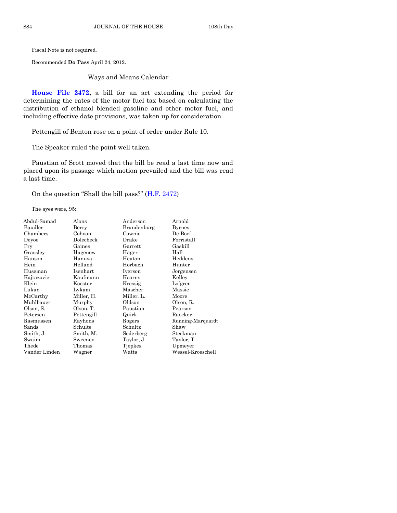Fiscal Note is not required.

Recommended **Do Pass** April 24, 2012.

Ways and Means Calendar

**[House File 2472,](http://coolice.legis.state.ia.us/Cool-ICE/default.asp?Category=billinfo&Service=Billbook&frame=1&GA=84&hbill=HF2472)** a bill for an act extending the period for determining the rates of the motor fuel tax based on calculating the distribution of ethanol blended gasoline and other motor fuel, and including effective date provisions, was taken up for consideration.

Pettengill of Benton rose on a point of order under Rule 10.

The Speaker ruled the point well taken.

Paustian of Scott moved that the bill be read a last time now and placed upon its passage which motion prevailed and the bill was read a last time.

On the question "Shall the bill pass?"  $(H.F. 2472)$  $(H.F. 2472)$ 

The ayes were, 95:

| Abdul-Samad   | Alons      | Anderson    | Arnold            |
|---------------|------------|-------------|-------------------|
| Baudler       | Berry      | Brandenburg | <b>Byrnes</b>     |
| Chambers      | Cohoon     | Cownie      | De Boef           |
| Devoe         | Dolecheck  | Drake       | Forristall        |
| Fry           | Gaines     | Garrett     | Gaskill           |
| Grassley      | Hagenow    | Hager       | Hall              |
| Hanson        | Hanusa     | Heaton      | Heddens           |
| Hein          | Helland    | Horbach     | Hunter            |
| Huseman       | Isenhart   | Iverson     | Jorgensen         |
| Kajtazovic    | Kaufmann   | Kearns      | Kelley            |
| Klein         | Koester    | Kressig     | Lofgren           |
| Lukan         | Lykam      | Mascher     | Massie            |
| McCarthy      | Miller, H. | Miller, L.  | Moore             |
| Muhlbauer     | Murphy     | Oldson      | Olson, R.         |
| Olson, S.     | Olson, T.  | Paustian    | Pearson           |
| Petersen      | Pettengill | Quirk       | Raecker           |
| Rasmussen     | Rayhons    | Rogers      | Running-Marquardt |
| Sands         | Schulte    | Schultz     | Shaw              |
| Smith, J.     | Smith, M.  | Soderberg   | Steckman          |
| Swaim         | Sweeney    | Taylor, J.  | Taylor, T.        |
| Thede         | Thomas     | Tjepkes     | Upmeyer           |
| Vander Linden | Wagner     | Watts       | Wessel-Kroeschell |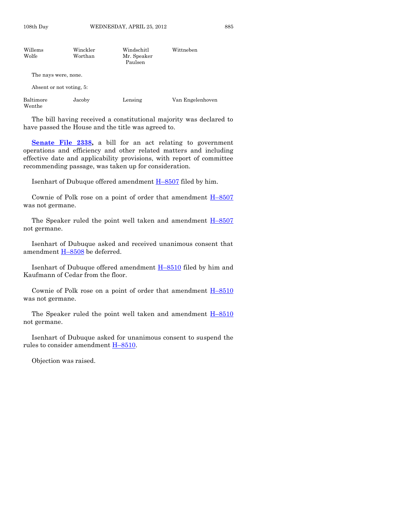| Willems<br>Wolfe     | Winckler<br>Worthan      | Windschitl<br>Mr. Speaker<br>Paulsen | Wittneben        |
|----------------------|--------------------------|--------------------------------------|------------------|
| The nays were, none. |                          |                                      |                  |
|                      | Absent or not voting, 5: |                                      |                  |
| Baltimore<br>Wenthe  | Jacoby                   | Lensing                              | Van Engelenhoven |

The bill having received a constitutional majority was declared to have passed the House and the title was agreed to.

**[Senate File 2338,](http://coolice.legis.state.ia.us/Cool-ICE/default.asp?Category=billinfo&Service=Billbook&frame=1&GA=84&hbill=SF2338)** a bill for an act relating to government operations and efficiency and other related matters and including effective date and applicability provisions, with report of committee recommending passage, was taken up for consideration.

Isenhart of Dubuque offered amendment H–[8507](http://coolice.legis.state.ia.us/Cool-ICE/default.asp?Category=billinfo&Service=Billbook&frame=1&GA=84&hbill=H8507) filed by him.

Cownie of Polk rose on a point of order that amendment  $H-8507$  $H-8507$ was not germane.

The Speaker ruled the point well taken and amendment  $H-8507$  $H-8507$ not germane.

Isenhart of Dubuque asked and received unanimous consent that amendment  $H-8508$  $H-8508$  be deferred.

Isenhart of Dubuque offered amendment H–[8510](http://coolice.legis.state.ia.us/Cool-ICE/default.asp?Category=billinfo&Service=Billbook&frame=1&GA=84&hbill=H8510) filed by him and Kaufmann of Cedar from the floor.

Cownie of Polk rose on a point of order that amendment  $H-8510$  $H-8510$ was not germane.

The Speaker ruled the point well taken and amendment H–[8510](http://coolice.legis.state.ia.us/Cool-ICE/default.asp?Category=billinfo&Service=Billbook&frame=1&GA=84&hbill=H8510) not germane.

Isenhart of Dubuque asked for unanimous consent to suspend the rules to consider amendment H–[8510.](http://coolice.legis.state.ia.us/Cool-ICE/default.asp?Category=billinfo&Service=Billbook&frame=1&GA=84&hbill=H8510)

Objection was raised.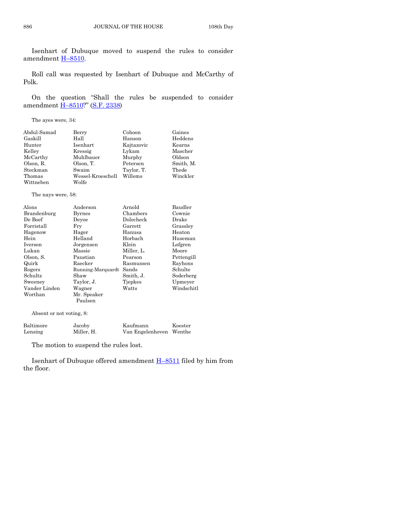Isenhart of Dubuque moved to suspend the rules to consider amendment H-[8510.](http://coolice.legis.state.ia.us/Cool-ICE/default.asp?Category=billinfo&Service=Billbook&frame=1&GA=84&hbill=H8510)

Roll call was requested by Isenhart of Dubuque and McCarthy of Polk.

On the question "Shall the rules be suspended to consider amendment H–[8510](http://coolice.legis.state.ia.us/Cool-ICE/default.asp?Category=billinfo&Service=Billbook&frame=1&GA=84&hbill=H8510)?" ([S.F. 2338\)](http://coolice.legis.state.ia.us/Cool-ICE/default.asp?Category=billinfo&Service=Billbook&frame=1&GA=84&hbill=SF2338)

The ayes were, 34:

| Abdul-Samad        | Berry             | Cohoon         | Gaines    |
|--------------------|-------------------|----------------|-----------|
| Gaskill            | Hall              | Hanson         | Heddens   |
| Hunter             | Isenhart          | Kajtazovic     | Kearns    |
| Kellev             | Kressig           | Lykam          | Mascher   |
| McCarthy           | Muhlbauer         | Murphy         | Oldson    |
| Olson, R.          | Olson, T.         | Petersen       | Smith, M. |
| Steckman           | Swaim             | Taylor, T.     | Thede     |
| Thomas             | Wessel-Kroeschell | Willems        | Winckler  |
| Wittneben          | Wolfe             |                |           |
| The nays were, 58: |                   |                |           |
| Alons              | Anderson          | Arnold         | Baudler   |
| Brandenburg        | Byrnes            | Chambers       | Cownie    |
| De Boef            | Devoe             | Dolecheck      | Drake     |
| Forristall         | Fry               | $\rm{Garrett}$ | Grassley  |
| Hagenow            | Hager             | Hanusa         | Heaton    |
| Hein               | Helland           | Horbach        | Huseman   |
| Iyarean            | Jorganean         | Klain          | Loforon   |

Iverson Jorgensen Klein Lofgren Lukan Massie Miller, L. Moore Olson, S. Paustian Pearson Pettengill Quirk Raecker Rasmussen Rayhons Rogers Running-Marquardt Sands Schulte<br>Schultz Shaw Smith, J. Soderbe Shaw Smith, J. Soderberg Sweeney Taylor, J. Tjepkes Upmeyer Vander Linden Wagner Watts Worthan Mr. Speaker Paulsen

Absent or not voting, 8:

| Baltimore | Jacoby     | Kaufmann                | Koester |
|-----------|------------|-------------------------|---------|
| Lensing   | Miller, H. | Van Engelenhoven Wenthe |         |

The motion to suspend the rules lost.

Isenhart of Dubuque offered amendment H–[8511](http://coolice.legis.state.ia.us/Cool-ICE/default.asp?Category=billinfo&Service=Billbook&frame=1&GA=84&hbill=H8511) filed by him from the floor.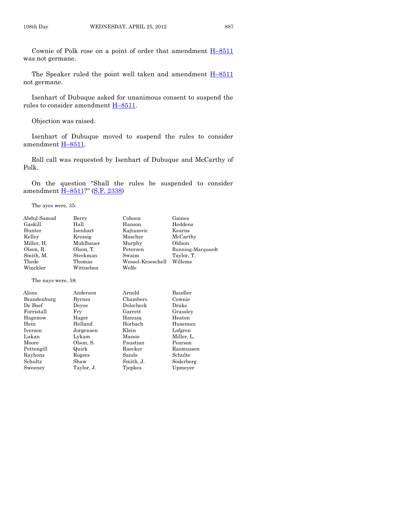Cownie of Polk rose on a point of order that amendment H–[8511](http://coolice.legis.state.ia.us/Cool-ICE/default.asp?Category=billinfo&Service=Billbook&frame=1&GA=84&hbill=H8511) was not germane.

The Speaker ruled the point well taken and amendment  $H-8511$  $H-8511$ not germane.

Isenhart of Dubuque asked for unanimous consent to suspend the rules to consider amendment H–[8511.](http://coolice.legis.state.ia.us/Cool-ICE/default.asp?Category=billinfo&Service=Billbook&frame=1&GA=84&hbill=H8511)

Objection was raised.

Isenhart of Dubuque moved to suspend the rules to consider amendment H–[8511.](http://coolice.legis.state.ia.us/Cool-ICE/default.asp?Category=billinfo&Service=Billbook&frame=1&GA=84&hbill=H8511)

Roll call was requested by Isenhart of Dubuque and McCarthy of Polk.

On the question "Shall the rules be suspended to consider amendment H–[8511?](http://coolice.legis.state.ia.us/Cool-ICE/default.asp?Category=billinfo&Service=Billbook&frame=1&GA=84&hbill=H8511)" [\(S.F. 2338\)](http://coolice.legis.state.ia.us/Cool-ICE/default.asp?Category=billinfo&Service=Billbook&frame=1&GA=84&hbill=SF2338)

The ayes were, 35:

| Abdul-Samad        | Berry         | Cohoon            | Gaines            |
|--------------------|---------------|-------------------|-------------------|
| Gaskill            | Hall          | Hanson            | Heddens           |
| Hunter             | Isenhart      | Kajtazovic        | Kearns            |
| Kelley             | Kressig       | Mascher           | McCarthy          |
| Miller, H.         | Muhlbauer     | Murphy            | Oldson            |
| Olson, R.          | Olson, T.     | Petersen          | Running-Marquardt |
| Smith, M.          | Steckman      | Swaim             | Taylor, T.        |
| Thede              | Thomas        | Wessel-Kroeschell | Willems           |
| Winckler           | Wittneben     | Wolfe             |                   |
| The nays were, 58: |               |                   |                   |
| Alons              | Anderson      | Arnold            | Baudler           |
| Brandenburg        | <b>Byrnes</b> | Chambers          | Cownie            |
| De Boef            | Deyoe         | Dolecheck         | Drake             |
| Forristall         | Fry           | Garrett           | Grassley          |
| Hagenow            | Hager         | Hanusa            | Heaton            |
| Hein               | Helland       | Horbach           | Huseman           |
| Iverson            | Jorgensen     | Klein             | Lofgren           |
| Lukan              | Lykam         | Massie            | Miller, L.        |
| Moore              | Olson, S.     | Paustian          | Pearson           |
| Pettengill         | Quirk         | Raecker           | Rasmussen         |
| Rayhons            | Rogers        | Sands             | Schulte           |
| Schultz            | Shaw          | Smith, J.         | Soderberg         |
| Sweeney            | Taylor, J.    | Tjepkes           | Upmeyer           |
|                    |               |                   |                   |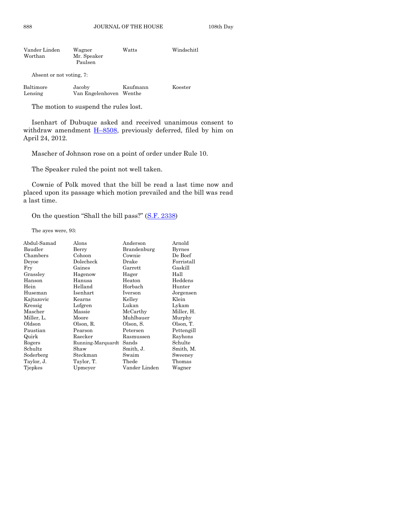| Vander Linden<br>Worthan | Wagner<br>Mr. Speaker<br>Paulsen | Watts | Windschitl |
|--------------------------|----------------------------------|-------|------------|
|                          |                                  |       |            |

Absent or not voting, 7:

| Baltimore | Jacoby                  | Kaufmann | Koester |
|-----------|-------------------------|----------|---------|
| Lensing   | Van Engelenhoven Wenthe |          |         |

The motion to suspend the rules lost.

Isenhart of Dubuque asked and received unanimous consent to withdraw amendment  $\underline{H-8508}$ , previously deferred, filed by him on April 24, 2012.

Mascher of Johnson rose on a point of order under Rule 10.

The Speaker ruled the point not well taken.

Cownie of Polk moved that the bill be read a last time now and placed upon its passage which motion prevailed and the bill was read a last time.

On the question "Shall the bill pass?" ([S.F. 2338\)](http://coolice.legis.state.ia.us/Cool-ICE/default.asp?Category=billinfo&Service=Billbook&frame=1&GA=84&hbill=SF2338)

The ayes were, 93:

| Alons             | Anderson      | Arnold        |
|-------------------|---------------|---------------|
| Berry             | Brandenburg   | <b>Byrnes</b> |
| Cohoon            | Cownie        | De Boef       |
| Dolecheck         | Drake         | Forristall    |
| Gaines            | Garrett       | Gaskill       |
| Hagenow           | Hager         | Hall          |
| Hanusa            | Heaton        | Heddens       |
| Helland           | Horbach       | Hunter        |
| Isenhart          | Iverson       | Jorgensen     |
| Kearns            | Kelley        | Klein         |
| Lofgren           | Lukan         | Lykam         |
| Massie            | McCarthy      | Miller, H.    |
| Moore             | Muhlbauer     | Murphy        |
| Olson, R.         | Olson, S.     | Olson, T.     |
| Pearson           | Petersen      | Pettengill    |
| Raecker           | Rasmussen     | Rayhons       |
| Running-Marquardt | Sands         | Schulte       |
| Shaw              | Smith, J.     | Smith, M.     |
| Steckman          | Swaim         | Sweeney       |
| Taylor, T.        | Thede         | Thomas        |
| Upmeyer           | Vander Linden | Wagner        |
|                   |               |               |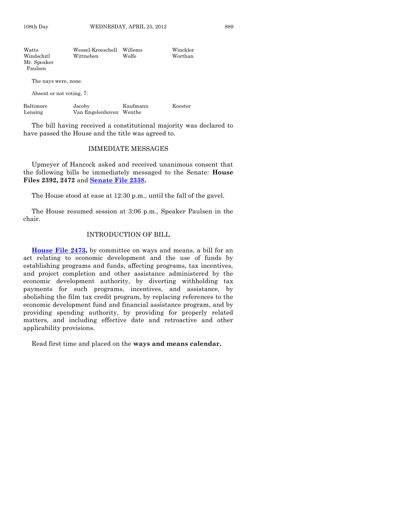| Watts                                            | Wessel-Kroeschell | Willems | Winckler |
|--------------------------------------------------|-------------------|---------|----------|
| Windschitl                                       | Wittneben         | Wolfe   | Worthan  |
| Mr. Speaker                                      |                   |         |          |
| Paulsen                                          |                   |         |          |
| The nays were, none.<br>Absent or not voting, 7: |                   |         |          |

| Baltimore | Jacoby                  | Kaufmann | Koester |
|-----------|-------------------------|----------|---------|
| Lensing   | Van Engelenhoven Wenthe |          |         |

The bill having received a constitutional majority was declared to have passed the House and the title was agreed to.

#### IMMEDIATE MESSAGES

Upmeyer of Hancock asked and received unanimous consent that the following bills be immediately messaged to the Senate: **House Files 2392, 2472** and **[Senate File 2338.](http://coolice.legis.state.ia.us/Cool-ICE/default.asp?Category=billinfo&Service=Billbook&frame=1&GA=84&hbill=SF2338)**

The House stood at ease at 12:30 p.m., until the fall of the gavel.

The House resumed session at 3:06 p.m., Speaker Paulsen in the chair.

#### INTRODUCTION OF BILL

**[House File 2473,](http://coolice.legis.state.ia.us/Cool-ICE/default.asp?Category=billinfo&Service=Billbook&frame=1&GA=84&hbill=HF2473)** by committee on ways and means, a bill for an act relating to economic development and the use of funds by establishing programs and funds, affecting programs, tax incentives, and project completion and other assistance administered by the economic development authority, by diverting withholding tax payments for such programs, incentives, and assistance, by abolishing the film tax credit program, by replacing references to the economic development fund and financial assistance program, and by providing spending authority, by providing for properly related matters, and including effective date and retroactive and other applicability provisions.

Read first time and placed on the **ways and means calendar.**